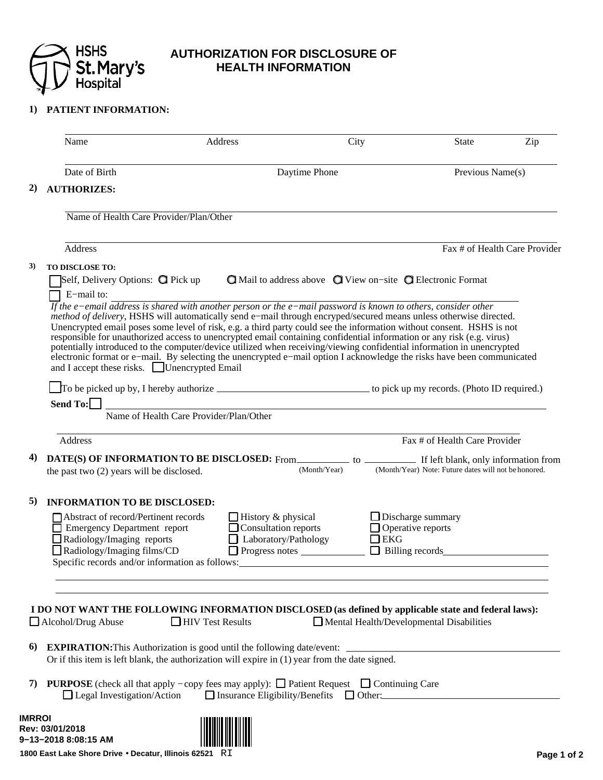

## **AUTHORIZATION FOR DISCLOSURE OF HEALTH INFORMATION**

## **1) PATIENT INFORMATION:**

|               | Name                                                                                                                                                                                                                                                                                                                                                                                                                                                                                                                                                                                                                                                                                                                                                                                                                                                                        |                                         | Address                                                                                                                                             | City         |                                                                                                        | <b>State</b>                  | Zip              |  |
|---------------|-----------------------------------------------------------------------------------------------------------------------------------------------------------------------------------------------------------------------------------------------------------------------------------------------------------------------------------------------------------------------------------------------------------------------------------------------------------------------------------------------------------------------------------------------------------------------------------------------------------------------------------------------------------------------------------------------------------------------------------------------------------------------------------------------------------------------------------------------------------------------------|-----------------------------------------|-----------------------------------------------------------------------------------------------------------------------------------------------------|--------------|--------------------------------------------------------------------------------------------------------|-------------------------------|------------------|--|
|               | Date of Birth                                                                                                                                                                                                                                                                                                                                                                                                                                                                                                                                                                                                                                                                                                                                                                                                                                                               |                                         |                                                                                                                                                     |              | Daytime Phone                                                                                          |                               | Previous Name(s) |  |
| 2)            | <b>AUTHORIZES:</b>                                                                                                                                                                                                                                                                                                                                                                                                                                                                                                                                                                                                                                                                                                                                                                                                                                                          |                                         |                                                                                                                                                     |              |                                                                                                        |                               |                  |  |
|               | Name of Health Care Provider/Plan/Other                                                                                                                                                                                                                                                                                                                                                                                                                                                                                                                                                                                                                                                                                                                                                                                                                                     |                                         |                                                                                                                                                     |              |                                                                                                        |                               |                  |  |
|               | Address                                                                                                                                                                                                                                                                                                                                                                                                                                                                                                                                                                                                                                                                                                                                                                                                                                                                     |                                         |                                                                                                                                                     |              |                                                                                                        | Fax # of Health Care Provider |                  |  |
| 3)            | <b>TO DISCLOSE TO:</b><br>Self, Delivery Options: <b>O</b> Pick up<br>E-mail to:<br>If the e-email address is shared with another person or the e-mail password is known to others, consider other<br>method of delivery, HSHS will automatically send e-mail through encryped/secured means unless otherwise directed.<br>Unencrypted email poses some level of risk, e.g. a third party could see the information without consent. HSHS is not<br>responsible for unauthorized access to unencrypted email containing confidential information or any risk (e.g. virus)<br>potentially introduced to the computer/device utilized when receiving/viewing confidential information in unencrypted<br>electronic format or e-mail. By selecting the unencrypted e-mail option I acknowledge the risks have been communicated<br>and I accept these risks. Unencrypted Email |                                         |                                                                                                                                                     |              | $\bigcirc$ Mail to address above $\bigcirc$ View on-site $\bigcirc$ Electronic Format                  |                               |                  |  |
|               | Send To:                                                                                                                                                                                                                                                                                                                                                                                                                                                                                                                                                                                                                                                                                                                                                                                                                                                                    | Name of Health Care Provider/Plan/Other | <u> 1980 - Johann Barn, amerikansk politiker (d. 1980)</u>                                                                                          |              |                                                                                                        |                               |                  |  |
|               | Address                                                                                                                                                                                                                                                                                                                                                                                                                                                                                                                                                                                                                                                                                                                                                                                                                                                                     |                                         |                                                                                                                                                     |              |                                                                                                        | Fax # of Health Care Provider |                  |  |
| 4)            | the past two (2) years will be disclosed.                                                                                                                                                                                                                                                                                                                                                                                                                                                                                                                                                                                                                                                                                                                                                                                                                                   |                                         |                                                                                                                                                     | (Month/Year) | (Month/Year) Note: Future dates will not be honored.                                                   |                               |                  |  |
| 5)            | <b>INFORMATION TO BE DISCLOSED:</b>                                                                                                                                                                                                                                                                                                                                                                                                                                                                                                                                                                                                                                                                                                                                                                                                                                         |                                         |                                                                                                                                                     |              |                                                                                                        |                               |                  |  |
|               | Abstract of record/Pertinent records<br>Emergency Department report<br>Radiology/Imaging reports<br>Radiology/Imaging films/CD<br>Specific records and/or information as follows:                                                                                                                                                                                                                                                                                                                                                                                                                                                                                                                                                                                                                                                                                           |                                         | $\Box$ History & physical<br>$\Box$ Consultation reports<br>$\Box$ Laboratory/Pathology<br>$\Box$ Progress notes $\_\_\_\_\_\_\_\_\_\_\_\_\_\_\_\_$ |              | $\Box$ Discharge summary<br>$\Box$ Operative reports<br>$\Box$ EKG                                     |                               |                  |  |
| 6)<br>7)      | I DO NOT WANT THE FOLLOWING INFORMATION DISCLOSED (as defined by applicable state and federal laws):<br>$\Box$ Alcohol/Drug Abuse<br><b>EXPIRATION:</b> This Authorization is good until the following date/event:<br>Or if this item is left blank, the authorization will expire in (1) year from the date signed.<br><b>PURPOSE</b> (check all that apply – copy fees may apply): $\Box$ Patient Request $\Box$ Continuing Care<br>$\Box$ Legal Investigation/Action                                                                                                                                                                                                                                                                                                                                                                                                     | $\Box$ HIV Test Results                 |                                                                                                                                                     |              | $\Box$ Mental Health/Developmental Disabilities<br>$\Box$ Insurance Eligibility/Benefits $\Box$ Other: |                               |                  |  |
| <b>IMRROI</b> | Rev: 03/01/2018<br>9-13-2018 8:08:15 AM                                                                                                                                                                                                                                                                                                                                                                                                                                                                                                                                                                                                                                                                                                                                                                                                                                     |                                         |                                                                                                                                                     |              |                                                                                                        |                               |                  |  |

**1800 East Lake Shore Drive** • **Decatur, Illinois 62521** RI